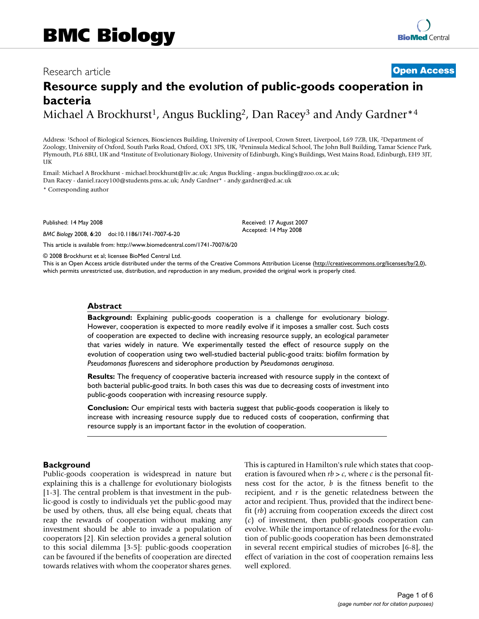## Research article **[Open Access](http://www.biomedcentral.com/info/about/charter/)**

# **Resource supply and the evolution of public-goods cooperation in bacteria** Michael A Brockhurst<sup>1</sup>, Angus Buckling<sup>2</sup>, Dan Racey<sup>3</sup> and Andy Gardner<sup>\*4</sup>

Address: 1School of Biological Sciences, Biosciences Building, University of Liverpool, Crown Street, Liverpool, L69 7ZB, UK, 2Department of Zoology, University of Oxford, South Parks Road, Oxford, OX1 3PS, UK, 3Peninsula Medical School, The John Bull Building, Tamar Science Park, Plymouth, PL6 8BU, UK and 4Institute of Evolutionary Biology, University of Edinburgh, King's Buildings, West Mains Road, Edinburgh, EH9 3JT, UK

Email: Michael A Brockhurst - michael.brockhurst@liv.ac.uk; Angus Buckling - angus.buckling@zoo.ox.ac.uk; Dan Racey - daniel.racey100@students.pms.ac.uk; Andy Gardner\* - andy.gardner@ed.ac.uk

\* Corresponding author

Published: 14 May 2008

*BMC Biology* 2008, **6**:20 doi:10.1186/1741-7007-6-20

Received: 17 August 2007 Accepted: 14 May 2008

[This article is available from: http://www.biomedcentral.com/1741-7007/6/20](http://www.biomedcentral.com/1741-7007/6/20)

© 2008 Brockhurst et al; licensee BioMed Central Ltd.

This is an Open Access article distributed under the terms of the Creative Commons Attribution License [\(http://creativecommons.org/licenses/by/2.0\)](http://creativecommons.org/licenses/by/2.0), which permits unrestricted use, distribution, and reproduction in any medium, provided the original work is properly cited.

## **Abstract**

**Background:** Explaining public-goods cooperation is a challenge for evolutionary biology. However, cooperation is expected to more readily evolve if it imposes a smaller cost. Such costs of cooperation are expected to decline with increasing resource supply, an ecological parameter that varies widely in nature. We experimentally tested the effect of resource supply on the evolution of cooperation using two well-studied bacterial public-good traits: biofilm formation by *Pseudomonas fluorescens* and siderophore production by *Pseudomonas aeruginosa*.

**Results:** The frequency of cooperative bacteria increased with resource supply in the context of both bacterial public-good traits. In both cases this was due to decreasing costs of investment into public-goods cooperation with increasing resource supply.

**Conclusion:** Our empirical tests with bacteria suggest that public-goods cooperation is likely to increase with increasing resource supply due to reduced costs of cooperation, confirming that resource supply is an important factor in the evolution of cooperation.

## **Background**

Public-goods cooperation is widespread in nature but explaining this is a challenge for evolutionary biologists [1-3]. The central problem is that investment in the public-good is costly to individuals yet the public-good may be used by others, thus, all else being equal, cheats that reap the rewards of cooperation without making any investment should be able to invade a population of cooperators [2]. Kin selection provides a general solution to this social dilemma [3-5]: public-goods cooperation can be favoured if the benefits of cooperation are directed towards relatives with whom the cooperator shares genes. This is captured in Hamilton's rule which states that cooperation is favoured when  $rb > c$ , where *c* is the personal fitness cost for the actor, *b* is the fitness benefit to the recipient, and *r* is the genetic relatedness between the actor and recipient. Thus, provided that the indirect benefit (*rb*) accruing from cooperation exceeds the direct cost (*c*) of investment, then public-goods cooperation can evolve. While the importance of relatedness for the evolution of public-goods cooperation has been demonstrated in several recent empirical studies of microbes [6-8], the effect of variation in the cost of cooperation remains less well explored.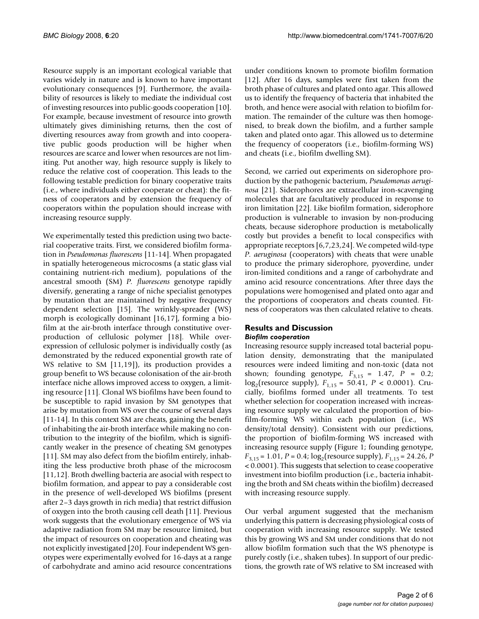Resource supply is an important ecological variable that varies widely in nature and is known to have important evolutionary consequences [9]. Furthermore, the availability of resources is likely to mediate the individual cost of investing resources into public-goods cooperation [10]. For example, because investment of resource into growth ultimately gives diminishing returns, then the cost of diverting resources away from growth and into cooperative public goods production will be higher when resources are scarce and lower when resources are not limiting. Put another way, high resource supply is likely to reduce the relative cost of cooperation. This leads to the following testable prediction for binary cooperative traits (i.e., where individuals either cooperate or cheat): the fitness of cooperators and by extension the frequency of cooperators within the population should increase with increasing resource supply.

We experimentally tested this prediction using two bacterial cooperative traits. First, we considered biofilm formation in *Pseudomonas fluorescens* [11-14]. When propagated in spatially heterogeneous microcosms (a static glass vial containing nutrient-rich medium), populations of the ancestral smooth (SM) *P. fluorescens* genotype rapidly diversify, generating a range of niche specialist genotypes by mutation that are maintained by negative frequency dependent selection [15]. The wrinkly-spreader (WS) morph is ecologically dominant [16,17], forming a biofilm at the air-broth interface through constitutive overproduction of cellulosic polymer [18]. While overexpression of cellulosic polymer is individually costly (as demonstrated by the reduced exponential growth rate of WS relative to SM [11,19]), its production provides a group benefit to WS because colonisation of the air-broth interface niche allows improved access to oxygen, a limiting resource [11]. Clonal WS biofilms have been found to be susceptible to rapid invasion by SM genotypes that arise by mutation from WS over the course of several days [11-14]. In this context SM are cheats, gaining the benefit of inhabiting the air-broth interface while making no contribution to the integrity of the biofilm, which is significantly weaker in the presence of cheating SM genotypes [11]. SM may also defect from the biofilm entirely, inhabiting the less productive broth phase of the microcosm [11,12]. Broth dwelling bacteria are asocial with respect to biofilm formation, and appear to pay a considerable cost in the presence of well-developed WS biofilms (present after 2–3 days growth in rich media) that restrict diffusion of oxygen into the broth causing cell death [11]. Previous work suggests that the evolutionary emergence of WS via adaptive radiation from SM may be resource limited, but the impact of resources on cooperation and cheating was not explicitly investigated [20]. Four independent WS genotypes were experimentally evolved for 16-days at a range of carbohydrate and amino acid resource concentrations under conditions known to promote biofilm formation [12]. After 16 days, samples were first taken from the broth phase of cultures and plated onto agar. This allowed us to identify the frequency of bacteria that inhabited the broth, and hence were asocial with relation to biofilm formation. The remainder of the culture was then homogenised, to break down the biofilm, and a further sample taken and plated onto agar. This allowed us to determine the frequency of cooperators (i.e., biofilm-forming WS) and cheats (i.e., biofilm dwelling SM).

Second, we carried out experiments on siderophore production by the pathogenic bacterium, *Pseudomonas aeruginosa* [21]. Siderophores are extracellular iron-scavenging molecules that are facultatively produced in response to iron limitation [22]. Like biofilm formation, siderophore production is vulnerable to invasion by non-producing cheats, because siderophore production is metabolically costly but provides a benefit to local conspecifics with appropriate receptors [6,7,23,24]. We competed wild-type *P. aeruginosa* (cooperators) with cheats that were unable to produce the primary siderophore, pyoverdine, under iron-limited conditions and a range of carbohydrate and amino acid resource concentrations. After three days the populations were homogenised and plated onto agar and the proportions of cooperators and cheats counted. Fitness of cooperators was then calculated relative to cheats.

## **Results and Discussion** *Biofilm cooperation*

Increasing resource supply increased total bacterial population density, demonstrating that the manipulated resources were indeed limiting and non-toxic (data not shown; founding genotype, *F*3,15 = 1.47, *P* = 0.2; log2(resource supply), *F*1,15 = 50.41, *P* < 0.0001). Crucially, biofilms formed under all treatments. To test whether selection for cooperation increased with increasing resource supply we calculated the proportion of biofilm-forming WS within each population (i.e., WS density/total density). Consistent with our predictions, the proportion of biofilm-forming WS increased with increasing resource supply (Figure 1; founding genotype,  $F_{3,15}$  = 1.01, *P* = 0.4;  $\log_2$ (resource supply),  $F_{1,15}$  = 24.26, *P* < 0.0001). This suggests that selection to cease cooperative investment into biofilm production (i.e., bacteria inhabiting the broth and SM cheats within the biofilm) decreased with increasing resource supply.

Our verbal argument suggested that the mechanism underlying this pattern is decreasing physiological costs of cooperation with increasing resource supply. We tested this by growing WS and SM under conditions that do not allow biofilm formation such that the WS phenotype is purely costly (i.e., shaken tubes). In support of our predictions, the growth rate of WS relative to SM increased with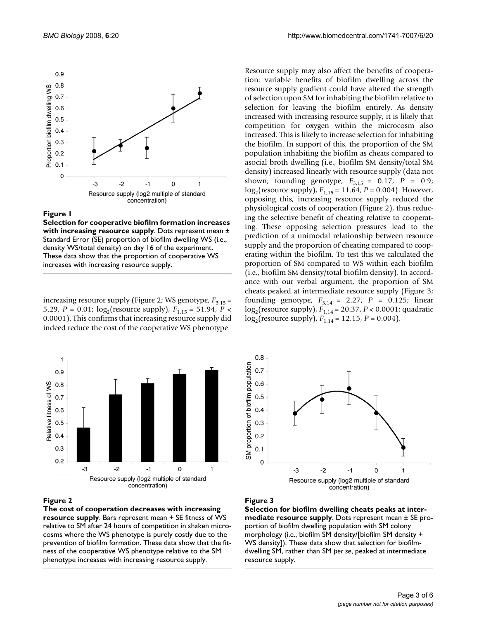

#### Figure 1

**Selection for cooperative biofilm formation increases with increasing resource supply**. Dots represent mean ± Standard Error (SE) proportion of biofilm dwelling WS (i.e., density WS/total density) on day 16 of the experiment. These data show that the proportion of cooperative WS increases with increasing resource supply.

increasing resource supply (Figure 2; WS genotype,  $F_{3,15}$  = 5.29, *P* = 0.01;  $log_2$ (resource supply),  $F_{1,15}$  = 51.94, *P* < 0.0001). This confirms that increasing resource supply did indeed reduce the cost of the cooperative WS phenotype.



#### Figure 2

**The cost of cooperation decreases with increasing resource supply**. Bars represent mean + SE fitness of WS relative to SM after 24 hours of competition in shaken microcosms where the WS phenotype is purely costly due to the prevention of biofilm formation. These data show that the fitness of the cooperative WS phenotype relative to the SM phenotype increases with increasing resource supply.

Resource supply may also affect the benefits of cooperation: variable benefits of biofilm dwelling across the resource supply gradient could have altered the strength of selection upon SM for inhabiting the biofilm relative to selection for leaving the biofilm entirely. As density increased with increasing resource supply, it is likely that competition for oxygen within the microcosm also increased. This is likely to increase selection for inhabiting the biofilm. In support of this, the proportion of the SM population inhabiting the biofilm as cheats compared to asocial broth dwelling (i.e., biofilm SM density/total SM density) increased linearly with resource supply (data not shown; founding genotype, *F*3,15 = 0.17, *P* = 0.9; log<sub>2</sub>(resource supply),  $F_{1,15}$  = 11.64, *P* = 0.004). However, opposing this, increasing resource supply reduced the physiological costs of cooperation (Figure 2), thus reducing the selective benefit of cheating relative to cooperating. These opposing selection pressures lead to the prediction of a unimodal relationship between resource supply and the proportion of cheating compared to cooperating within the biofilm. To test this we calculated the proportion of SM compared to WS within each biofilm (i.e., biofilm SM density/total biofilm density). In accordance with our verbal argument, the proportion of SM cheats peaked at intermediate resource supply (Figure 3; founding genotype,  $F_{3,14} = 2.27$ ,  $P = 0.125$ ; linear log2(resource supply), *F*1,14 = 20.37, *P* < 0.0001; quadratic log<sub>2</sub>(resource supply),  $F_{1,14} = 12.15$ ,  $P = 0.004$ ).



## Figure 3

**Selection for biofilm dwelling cheats peaks at intermediate resource supply**. Dots represent mean ± SE proportion of biofilm dwelling population with SM colony morphology (i.e., biofilm SM density/[biofilm SM density + WS density]). These data show that selection for biofilmdwelling SM, rather than SM *per se*, peaked at intermediate resource supply.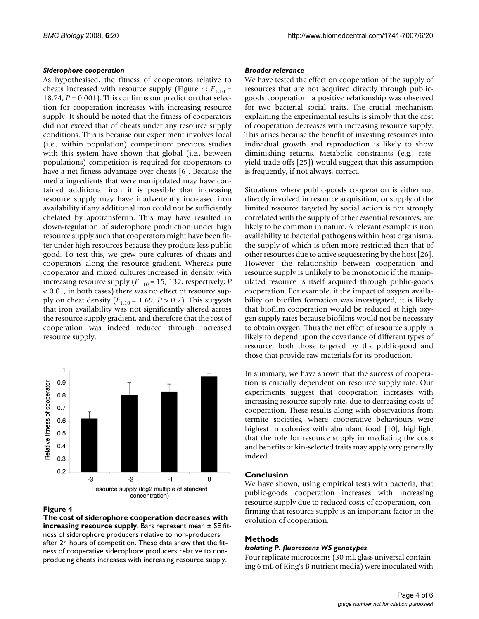## *Siderophore cooperation*

As hypothesised, the fitness of cooperators relative to cheats increased with resource supply (Figure 4;  $F_{1,10}$  = 18.74, *P* = 0.001). This confirms our prediction that selection for cooperation increases with increasing resource supply. It should be noted that the fitness of cooperators did not exceed that of cheats under any resource supply conditions. This is because our experiment involves local (i.e., within population) competition: previous studies with this system have shown that global (i.e., between populations) competition is required for cooperators to have a net fitness advantage over cheats [6]. Because the media ingredients that were manipulated may have contained additional iron it is possible that increasing resource supply may have inadvertently increased iron availability if any additional iron could not be sufficiently chelated by apotransferrin. This may have resulted in down-regulation of siderophore production under high resource supply such that cooperators might have been fitter under high resources because they produce less public good. To test this, we grew pure cultures of cheats and cooperators along the resource gradient. Whereas pure cooperator and mixed cultures increased in density with increasing resource supply  $(F_{1,10} = 15, 132,$  respectively; *P* < 0.01, in both cases) there was no effect of resource supply on cheat density  $(F_{1,10} = 1.69, P > 0.2)$ . This suggests that iron availability was not significantly altered across the resource supply gradient, and therefore that the cost of cooperation was indeed reduced through increased resource supply.



## Figure 4

**The cost of siderophore cooperation decreases with increasing resource supply**. Bars represent mean ± SE fitness of siderophore producers relative to non-producers after 24 hours of competition. These data show that the fitness of cooperative siderophore producers relative to nonproducing cheats increases with increasing resource supply.

## *Broader relevance*

We have tested the effect on cooperation of the supply of resources that are not acquired directly through publicgoods cooperation: a positive relationship was observed for two bacterial social traits. The crucial mechanism explaining the experimental results is simply that the cost of cooperation decreases with increasing resource supply. This arises because the benefit of investing resources into individual growth and reproduction is likely to show diminishing returns. Metabolic constraints (e.g., rateyield trade-offs [25]) would suggest that this assumption is frequently, if not always, correct.

Situations where public-goods cooperation is either not directly involved in resource acquisition, or supply of the limited resource targeted by social action is not strongly correlated with the supply of other essential resources, are likely to be common in nature. A relevant example is iron availability to bacterial pathogens within host organisms, the supply of which is often more restricted than that of other resources due to active sequestering by the host [26]. However, the relationship between cooperation and resource supply is unlikely to be monotonic if the manipulated resource is itself acquired through public-goods cooperation. For example, if the impact of oxygen availability on biofilm formation was investigated, it is likely that biofilm cooperation would be reduced at high oxygen supply rates because biofilms would not be necessary to obtain oxygen. Thus the net effect of resource supply is likely to depend upon the covariance of different types of resource, both those targeted by the public-good and those that provide raw materials for its production.

In summary, we have shown that the success of cooperation is crucially dependent on resource supply rate. Our experiments suggest that cooperation increases with increasing resource supply rate, due to decreasing costs of cooperation. These results along with observations from termite societies, where cooperative behaviours were highest in colonies with abundant food [10], highlight that the role for resource supply in mediating the costs and benefits of kin-selected traits may apply very generally indeed.

## **Conclusion**

We have shown, using empirical tests with bacteria, that public-goods cooperation increases with increasing resource supply due to reduced costs of cooperation, confirming that resource supply is an important factor in the evolution of cooperation.

## **Methods**

## *Isolating P. fluorescens WS genotypes*

Four replicate microcosms (30 mL glass universal containing 6 mL of King's B nutrient media) were inoculated with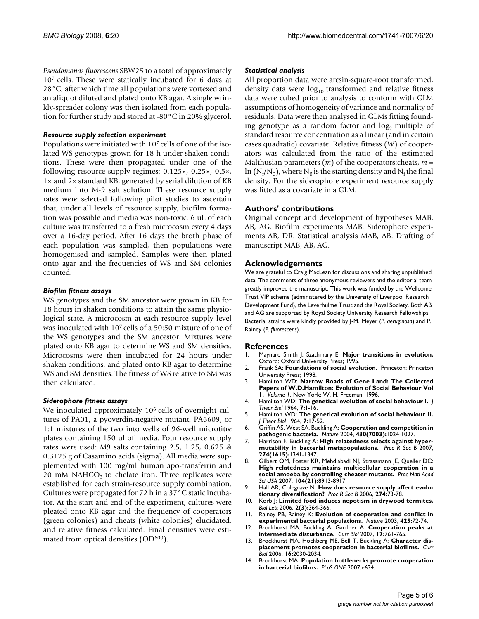*Pseudomonas fluorescens* SBW25 to a total of approximately 107 cells. These were statically incubated for 6 days at 28°C, after which time all populations were vortexed and an aliquot diluted and plated onto KB agar. A single wrinkly-spreader colony was then isolated from each population for further study and stored at -80°C in 20% glycerol.

## *Resource supply selection experiment*

Populations were initiated with 107 cells of one of the isolated WS genotypes grown for 18 h under shaken conditions. These were then propagated under one of the following resource supply regimes: 0.125×, 0.25×, 0.5×, 1× and 2× standard KB, generated by serial dilution of KB medium into M-9 salt solution. These resource supply rates were selected following pilot studies to ascertain that, under all levels of resource supply, biofilm formation was possible and media was non-toxic. 6 uL of each culture was transferred to a fresh microcosm every 4 days over a 16-day period. After 16 days the broth phase of each population was sampled, then populations were homogenised and sampled. Samples were then plated onto agar and the frequencies of WS and SM colonies counted.

## *Biofilm fitness assays*

WS genotypes and the SM ancestor were grown in KB for 18 hours in shaken conditions to attain the same physiological state. A microcosm at each resource supply level was inoculated with 107 cells of a 50:50 mixture of one of the WS genotypes and the SM ancestor. Mixtures were plated onto KB agar to determine WS and SM densities. Microcosms were then incubated for 24 hours under shaken conditions, and plated onto KB agar to determine WS and SM densities. The fitness of WS relative to SM was then calculated.

#### *Siderophore fitness assays*

We inoculated approximately 10<sup>6</sup> cells of overnight cultures of PA01, a pyoverdin-negative mutant, PA6609, or 1:1 mixtures of the two into wells of 96-well microtitre plates containing 150 ul of media. Four resource supply rates were used: M9 salts containing 2.5, 1.25, 0.625 & 0.3125 g of Casamino acids (sigma). All media were supplemented with 100 mg/ml human apo-transferrin and 20 mM NAHCO<sub>3</sub> to chelate iron. Three replicates were established for each strain-resource supply combination. Cultures were propagated for 72 h in a 37°C static incubator. At the start and end of the experiment, cultures were pleated onto KB agar and the frequency of cooperators (green colonies) and cheats (white colonies) elucidated, and relative fitness calculated. Final densities were estimated from optical densities (OD<sup>600</sup>).

#### *Statistical analysis*

All proportion data were arcsin-square-root transformed, density data were  $log_{10}$  transformed and relative fitness data were cubed prior to analysis to conform with GLM assumptions of homogeneity of variance and normality of residuals. Data were then analysed in GLMs fitting founding genotype as a random factor and  $log<sub>2</sub>$  multiple of standard resource concentration as a linear (and in certain cases quadratic) covariate. Relative fitness (*W*) of cooperators was calculated from the ratio of the estimated Malthusian parameters (*m*) of the cooperators:cheats, *m* =  $\ln\left(N_{\rm f}/N_0\right)$ , where  $N_0$  is the starting density and  $N_{\rm f}$ the final density. For the siderophore experiment resource supply was fitted as a covariate in a GLM.

## **Authors' contributions**

Original concept and development of hypotheses MAB, AB, AG. Biofilm experiments MAB. Siderophore experiments AB, DR. Statistical analysis MAB, AB. Drafting of manuscript MAB, AB, AG.

## **Acknowledgements**

We are grateful to Craig MacLean for discussions and sharing unpublished data. The comments of three anonymous reviewers and the editorial team greatly improved the manuscript. This work was funded by the Wellcome Trust VIP scheme (administered by the University of Liverpool Research Development Fund), the Leverhulme Trust and the Royal Society. Both AB and AG are supported by Royal Society University Research Fellowships. Bacterial strains were kindly provided by J-M. Meyer (*P. aeruginosa*) and P. Rainey (*P. fluorescens*).

#### **References**

- 1. Maynard Smith J, Szathmary E: **[Major transitions in evolution.](http://www.ncbi.nlm.nih.gov/entrez/query.fcgi?cmd=Retrieve&db=PubMed&dopt=Abstract&list_uids=7739379)** Oxford: Oxford University Press; 1995.
- 2. Frank SA: **Foundations of social evolution.** Princeton: Princeton University Press; 1998.
- 3. Hamilton WD: **Narrow Roads of Gene Land: The Collected Papers of W.D.Hamilton: Evolution of Social Behaviour Vol 1.** *Volume 1*. New York: W. H. Freeman; 1996.
- 4. Hamilton WD: **[The genetical evolution of social behaviour I.](http://www.ncbi.nlm.nih.gov/entrez/query.fcgi?cmd=Retrieve&db=PubMed&dopt=Abstract&list_uids=5875341)** *J Theor Biol* 1964, **7:**1-16.
- 5. Hamilton WD: **[The genetical evolution of social behaviour II.](http://www.ncbi.nlm.nih.gov/entrez/query.fcgi?cmd=Retrieve&db=PubMed&dopt=Abstract&list_uids=5875340)** *J Theor Biol* 1964, **7:**17-52.
- 6. Griffin AS, West SA, Buckling A: **[Cooperation and competition in](http://www.ncbi.nlm.nih.gov/entrez/query.fcgi?cmd=Retrieve&db=PubMed&dopt=Abstract&list_uids=15329720) [pathogenic bacteria.](http://www.ncbi.nlm.nih.gov/entrez/query.fcgi?cmd=Retrieve&db=PubMed&dopt=Abstract&list_uids=15329720)** *Nature* 2004, **430(7003):**1024-1027.
- 7. Harrison F, Buckling A: **[High relatedness selects against hyper](http://www.ncbi.nlm.nih.gov/entrez/query.fcgi?cmd=Retrieve&db=PubMed&dopt=Abstract&list_uids=17374597)[mutability in bacterial metapopulations.](http://www.ncbi.nlm.nih.gov/entrez/query.fcgi?cmd=Retrieve&db=PubMed&dopt=Abstract&list_uids=17374597)** *Proc R Soc B* 2007, **274(1615):**1341-1347.
- 8. Gilbert OM, Foster KR, Mehdiabadi NJ, Strassmann JE, Queller DC: **[High relatedness maintains multicellular cooperation in a](http://www.ncbi.nlm.nih.gov/entrez/query.fcgi?cmd=Retrieve&db=PubMed&dopt=Abstract&list_uids=17496139) [social amoeba by controlling cheater mutants.](http://www.ncbi.nlm.nih.gov/entrez/query.fcgi?cmd=Retrieve&db=PubMed&dopt=Abstract&list_uids=17496139)** *Proc Natl Acad Sci USA* 2007, **104(21):**8913-8917.
- 9. Hall AR, Colegrave N: **[How does resource supply affect evolu](http://www.ncbi.nlm.nih.gov/entrez/query.fcgi?cmd=Retrieve&db=PubMed&dopt=Abstract&list_uids=17015335)[tionary diversification?](http://www.ncbi.nlm.nih.gov/entrez/query.fcgi?cmd=Retrieve&db=PubMed&dopt=Abstract&list_uids=17015335)** *Proc R Soc B* 2006, **274:**73-78.
- 10. Korb J: **[Limited food induces nepotism in drywood termites.](http://www.ncbi.nlm.nih.gov/entrez/query.fcgi?cmd=Retrieve&db=PubMed&dopt=Abstract&list_uids=17148404)** *Biol Lett* 2006, **2(3):**364-366.
- 11. Rainey PB, Rainey K: **[Evolution of cooperation and conflict in](http://www.ncbi.nlm.nih.gov/entrez/query.fcgi?cmd=Retrieve&db=PubMed&dopt=Abstract&list_uids=12955142) [experimental bacterial populations.](http://www.ncbi.nlm.nih.gov/entrez/query.fcgi?cmd=Retrieve&db=PubMed&dopt=Abstract&list_uids=12955142)** *Nature* 2003, **425:**72-74.
- 12. Brockhurst MA, Buckling A, Gardner A: **[Cooperation peaks at](http://www.ncbi.nlm.nih.gov/entrez/query.fcgi?cmd=Retrieve&db=PubMed&dopt=Abstract&list_uids=17379522) [intermediate disturbance.](http://www.ncbi.nlm.nih.gov/entrez/query.fcgi?cmd=Retrieve&db=PubMed&dopt=Abstract&list_uids=17379522)** *Curr Biol* 2007, **17:**761-765.
- 13. Brockhurst MA, Hochberg ME, Bell T, Buckling A: **[Character dis](http://www.ncbi.nlm.nih.gov/entrez/query.fcgi?cmd=Retrieve&db=PubMed&dopt=Abstract&list_uids=17055982)[placement promotes cooperation in bacterial biofilms.](http://www.ncbi.nlm.nih.gov/entrez/query.fcgi?cmd=Retrieve&db=PubMed&dopt=Abstract&list_uids=17055982)** *Curr Biol* 2006, **16:**2030-2034.
- 14. Brockhurst MA: **[Population bottlenecks promote cooperation](http://www.ncbi.nlm.nih.gov/entrez/query.fcgi?cmd=Retrieve&db=PubMed&dopt=Abstract&list_uids=17653261) [in bacterial biofilms.](http://www.ncbi.nlm.nih.gov/entrez/query.fcgi?cmd=Retrieve&db=PubMed&dopt=Abstract&list_uids=17653261)** *PLoS ONE* 2007:e634.